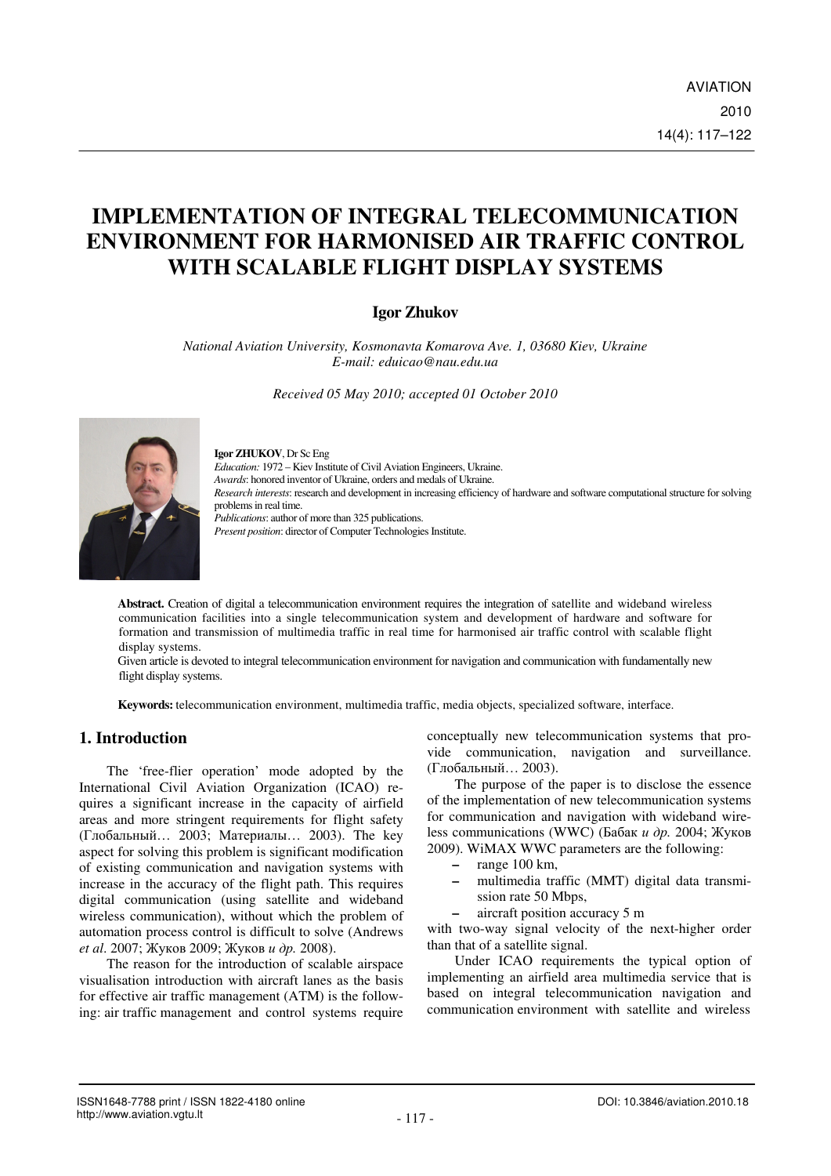# **IMPLEMENTATION OF INTEGRAL TELECOMMUNICATION ENVIRONMENT FOR HARMONISED AIR TRAFFIC CONTROL WITH SCALABLE FLIGHT DISPLAY SYSTEMS**

## **Igor Zhukov**

*National Aviation University, Kosmonavta Komarova Ave. 1, 03680 Kiev, Ukraine E-mail: eduicao@nau.edu.ua* 

*Received 05 May 2010; accepted 01 October 2010* 



**Igor ZHUKOV**, Dr Sc Eng *Education:* 1972 – Kiev Institute of Civil Aviation Engineers, Ukraine. *Awards*: honored inventor of Ukraine, orders and medals of Ukraine. *Research interests*: research and development in increasing efficiency of hardware and software computational structure for solving problems in real time. *Publications*: author of more than 325 publications. *Present position*: director of Computer Technologies Institute.

**Abstract.** Creation of digital a telecommunication environment requires the integration of satellite and wideband wireless communication facilities into a single telecommunication system and development of hardware and software for formation and transmission of multimedia traffic in real time for harmonised air traffic control with scalable flight display systems.

Given article is devoted to integral telecommunication environment for navigation and communication with fundamentally new flight display systems.

**Keywords:** telecommunication environment, multimedia traffic, media objects, specialized software, interface.

## **1. Introduction**

The 'free-flier operation' mode adopted by the International Civil Aviation Organization (ICAO) requires a significant increase in the capacity of airfield areas and more stringent requirements for flight safety (Глобальный… 2003; Материалы… 2003). The key aspect for solving this problem is significant modification of existing communication and navigation systems with increase in the accuracy of the flight path. This requires digital communication (using satellite and wideband wireless communication), without which the problem of automation process control is difficult to solve (Andrews *et al*. 2007; Жуков 2009; Жуков и др*.* 2008).

The reason for the introduction of scalable airspace visualisation introduction with aircraft lanes as the basis for effective air traffic management (ATM) is the following: air traffic management and control systems require

conceptually new telecommunication systems that provide communication, navigation and surveillance. (Глобальный… 2003).

The purpose of the paper is to disclose the essence of the implementation of new telecommunication systems for communication and navigation with wideband wireless communications (WWC) (Бабак и др*.* 2004; Жуков 2009). WiMAX WWC parameters are the following:

- range 100 km,
- multimedia traffic (MMT) digital data transmission rate 50 Mbps,
- aircraft position accuracy 5 m

with two-way signal velocity of the next-higher order than that of a satellite signal.

Under ICAO requirements the typical option of implementing an airfield area multimedia service that is based on integral telecommunication navigation and communication environment with satellite and wireless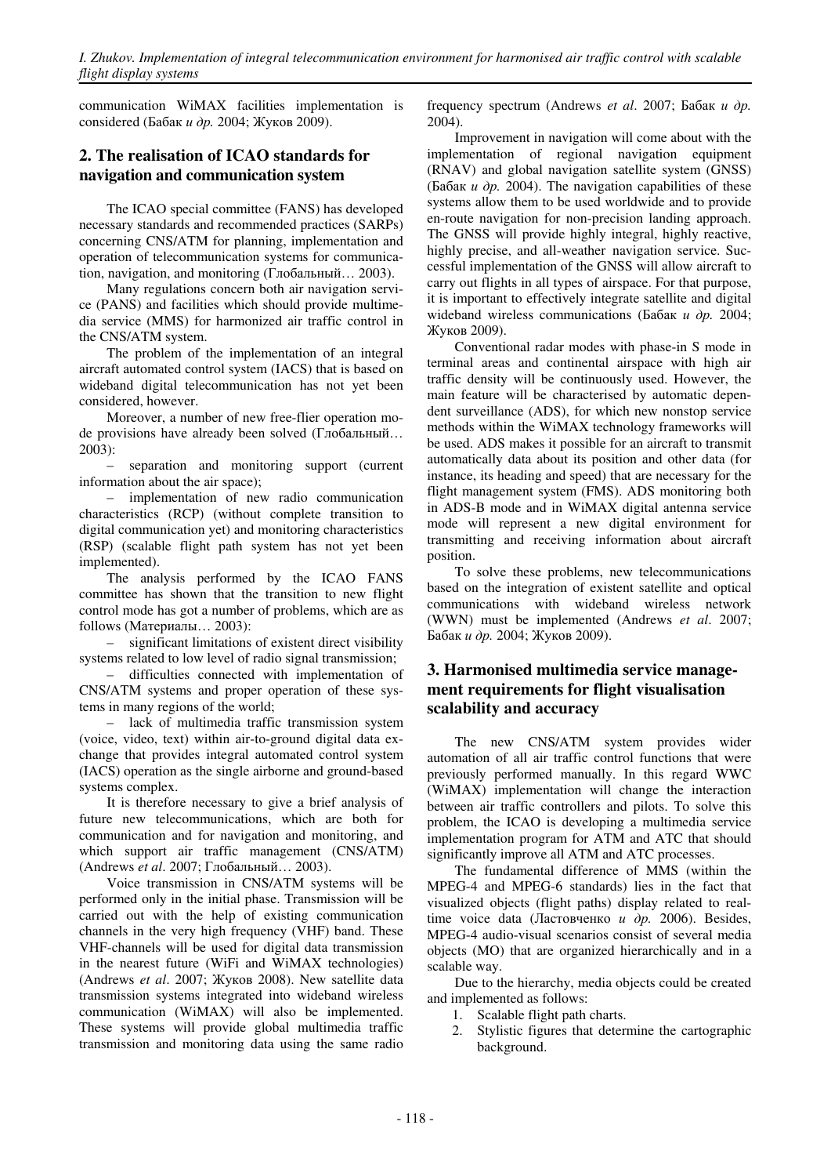communication WiMAX facilities implementation is considered (Бабак и др*.* 2004; Жуков 2009).

# **2. The realisation of ICAO standards for navigation and communication system**

The ICAO special committee (FANS) has developed necessary standards and recommended practices (SARPs) concerning CNS/ATM for planning, implementation and operation of telecommunication systems for communication, navigation, and monitoring (Глобальный… 2003).

Many regulations concern both air navigation service (PANS) and facilities which should provide multimedia service (MMS) for harmonized air traffic control in the CNS/ATM system.

The problem of the implementation of an integral aircraft automated control system (IACS) that is based on wideband digital telecommunication has not yet been considered, however.

Moreover, a number of new free-flier operation mode provisions have already been solved (Глобальный… 2003):

– separation and monitoring support (current information about the air space);

– implementation of new radio communication characteristics (RCP) (without complete transition to digital communication yet) and monitoring characteristics (RSP) (scalable flight path system has not yet been implemented).

The analysis performed by the ICAO FANS committee has shown that the transition to new flight control mode has got a number of problems, which are as follows (Материалы… 2003):

– significant limitations of existent direct visibility systems related to low level of radio signal transmission;

– difficulties connected with implementation of CNS/ATM systems and proper operation of these systems in many regions of the world;

– lack of multimedia traffic transmission system (voice, video, text) within air-to-ground digital data exchange that provides integral automated control system (IACS) operation as the single airborne and ground-based systems complex.

It is therefore necessary to give a brief analysis of future new telecommunications, which are both for communication and for navigation and monitoring, and which support air traffic management (CNS/ATM) (Andrews *et al*. 2007; Глобальный… 2003).

Voice transmission in CNS/ATM systems will be performed only in the initial phase. Transmission will be carried out with the help of existing communication channels in the very high frequency (VHF) band. These VHF-channels will be used for digital data transmission in the nearest future (WiFi and WiMAX technologies) (Andrews *et al*. 2007; Жуков 2008). New satellite data transmission systems integrated into wideband wireless communication (WiMAX) will also be implemented. These systems will provide global multimedia traffic transmission and monitoring data using the same radio

frequency spectrum (Andrews *et al*. 2007; Бабак и др*.*  2004).

Improvement in navigation will come about with the implementation of regional navigation equipment (RNAV) and global navigation satellite system (GNSS) (Бабак и др*.* 2004). The navigation capabilities of these systems allow them to be used worldwide and to provide en-route navigation for non-precision landing approach. The GNSS will provide highly integral, highly reactive, highly precise, and all-weather navigation service. Successful implementation of the GNSS will allow aircraft to carry out flights in all types of airspace. For that purpose, it is important to effectively integrate satellite and digital wideband wireless communications (Бабак *и др.* 2004; Жуков 2009).

Conventional radar modes with phase-in S mode in terminal areas and continental airspace with high air traffic density will be continuously used. However, the main feature will be characterised by automatic dependent surveillance (ADS), for which new nonstop service methods within the WiMAX technology frameworks will be used. ADS makes it possible for an aircraft to transmit automatically data about its position and other data (for instance, its heading and speed) that are necessary for the flight management system (FMS). ADS monitoring both in ADS-B mode and in WiMAX digital antenna service mode will represent a new digital environment for transmitting and receiving information about aircraft position.

To solve these problems, new telecommunications based on the integration of existent satellite and optical communications with wideband wireless network (WWN) must be implemented (Andrews *et al*. 2007; Бабак и др*.* 2004; Жуков 2009).

# **3. Harmonised multimedia service management requirements for flight visualisation scalability and accuracy**

The new CNS/ATM system provides wider automation of all air traffic control functions that were previously performed manually. In this regard WWC (WiMAX) implementation will change the interaction between air traffic controllers and pilots. To solve this problem, the ICAO is developing a multimedia service implementation program for ATM and ATC that should significantly improve all ATM and ATC processes.

The fundamental difference of MMS (within the MPEG-4 and MPEG-6 standards) lies in the fact that visualized objects (flight paths) display related to realtime voice data (Ластовченко и др*.* 2006). Besides, MPEG-4 audio-visual scenarios consist of several media objects (MO) that are organized hierarchically and in a scalable way.

Due to the hierarchy, media objects could be created and implemented as follows:

- 1. Scalable flight path charts.
- 2. Stylistic figures that determine the cartographic background.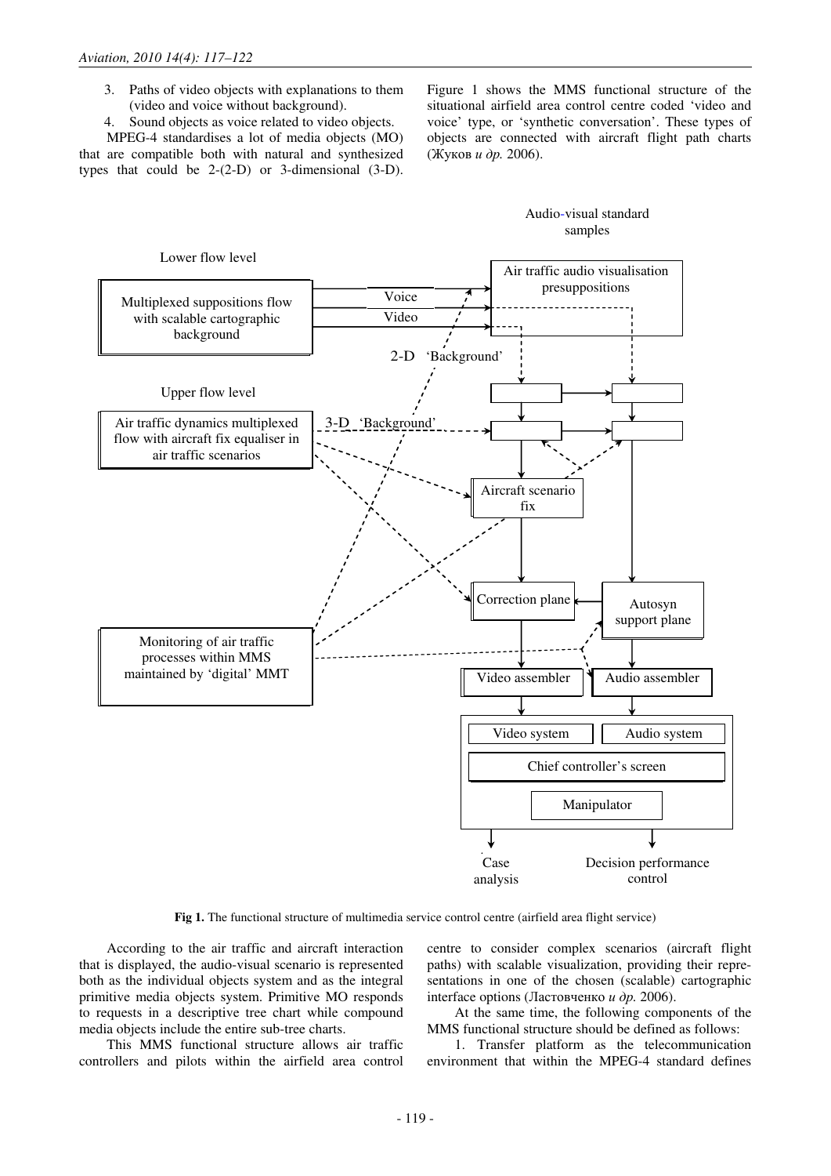- 3. Paths of video objects with explanations to them (video and voice without background).
- 4. Sound objects as voice related to video objects.

MPEG-4 standardises a lot of media objects (MO) that are compatible both with natural and synthesized types that could be 2-(2-D) or 3-dimensional (3-D). Figure 1 shows the MMS functional structure of the situational airfield area control centre coded 'video and voice' type, or 'synthetic conversation'. These types of objects are connected with aircraft flight path charts (Жуков и др*.* 2006).



**Fig 1.** The functional structure of multimedia service control centre (airfield area flight service)

According to the air traffic and aircraft interaction that is displayed, the audio-visual scenario is represented both as the individual objects system and as the integral primitive media objects system. Primitive MO responds to requests in a descriptive tree chart while compound media objects include the entire sub-tree charts.

This MMS functional structure allows air traffic controllers and pilots within the airfield area control centre to consider complex scenarios (aircraft flight paths) with scalable visualization, providing their representations in one of the chosen (scalable) cartographic interface options (Ластовченко и др*.* 2006).

At the same time, the following components of the MMS functional structure should be defined as follows:

1. Transfer platform as the telecommunication environment that within the MPEG-4 standard defines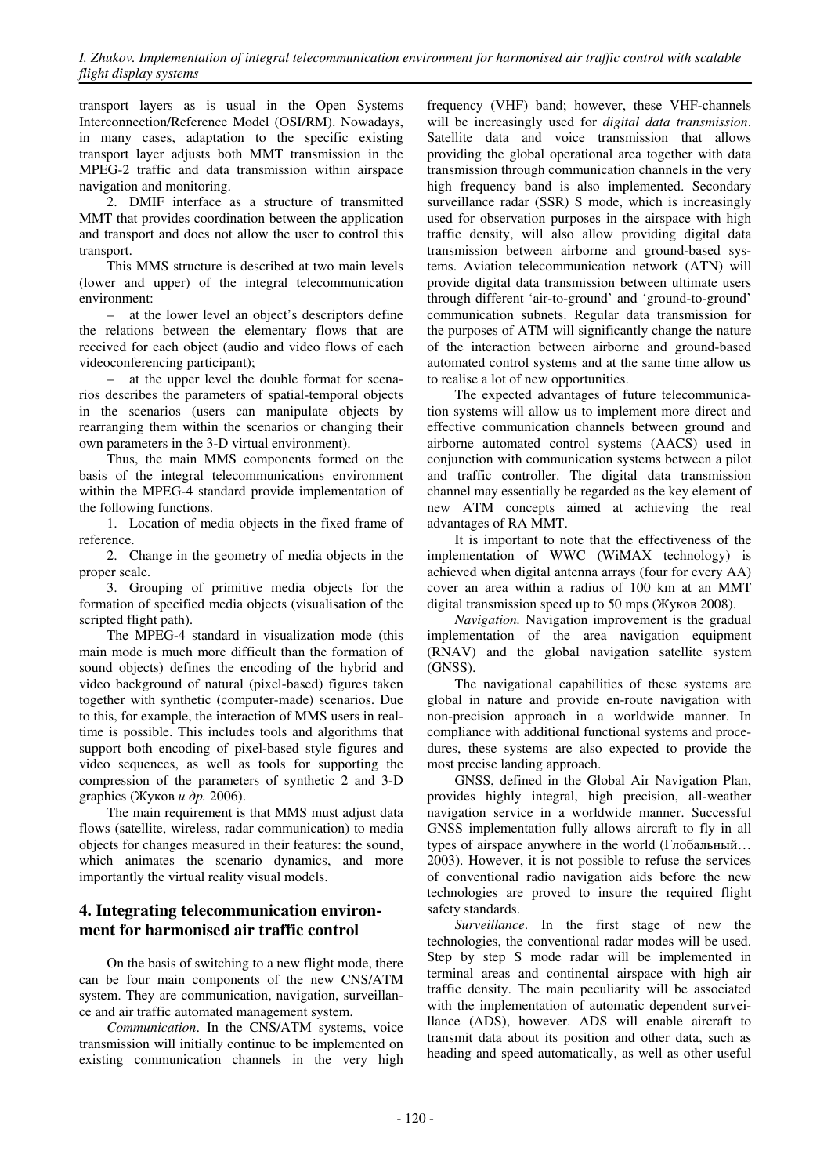transport layers as is usual in the Open Systems Interconnection/Reference Model (OSI/RM). Nowadays, in many cases, adaptation to the specific existing transport layer adjusts both MMT transmission in the MPEG-2 traffic and data transmission within airspace navigation and monitoring.

2. DMIF interface as a structure of transmitted MMT that provides coordination between the application and transport and does not allow the user to control this transport.

This MMS structure is described at two main levels (lower and upper) of the integral telecommunication environment:

– at the lower level an object's descriptors define the relations between the elementary flows that are received for each object (audio and video flows of each videoconferencing participant);

– at the upper level the double format for scenarios describes the parameters of spatial-temporal objects in the scenarios (users can manipulate objects by rearranging them within the scenarios or changing their own parameters in the 3-D virtual environment).

Thus, the main MMS components formed on the basis of the integral telecommunications environment within the MPEG-4 standard provide implementation of the following functions.

1. Location of media objects in the fixed frame of reference.

2. Change in the geometry of media objects in the proper scale.

3. Grouping of primitive media objects for the formation of specified media objects (visualisation of the scripted flight path).

The MPEG-4 standard in visualization mode (this main mode is much more difficult than the formation of sound objects) defines the encoding of the hybrid and video background of natural (pixel-based) figures taken together with synthetic (computer-made) scenarios. Due to this, for example, the interaction of MMS users in realtime is possible. This includes tools and algorithms that support both encoding of pixel-based style figures and video sequences, as well as tools for supporting the compression of the parameters of synthetic 2 and 3-D graphics (Жуков и др*.* 2006).

The main requirement is that MMS must adjust data flows (satellite, wireless, radar communication) to media objects for changes measured in their features: the sound, which animates the scenario dynamics, and more importantly the virtual reality visual models.

# **4. Integrating telecommunication environment for harmonised air traffic control**

On the basis of switching to a new flight mode, there can be four main components of the new CNS/ATM system. They are communication, navigation, surveillance and air traffic automated management system.

*Communication*. In the CNS/ATM systems, voice transmission will initially continue to be implemented on existing communication channels in the very high

frequency (VHF) band; however, these VHF-channels will be increasingly used for *digital data transmission*. Satellite data and voice transmission that allows providing the global operational area together with data transmission through communication channels in the very high frequency band is also implemented. Secondary surveillance radar (SSR) S mode, which is increasingly used for observation purposes in the airspace with high traffic density, will also allow providing digital data transmission between airborne and ground-based systems. Aviation telecommunication network (ATN) will provide digital data transmission between ultimate users through different 'air-to-ground' and 'ground-to-ground' communication subnets. Regular data transmission for the purposes of ATM will significantly change the nature of the interaction between airborne and ground-based automated control systems and at the same time allow us to realise a lot of new opportunities.

The expected advantages of future telecommunication systems will allow us to implement more direct and effective communication channels between ground and airborne automated control systems (AACS) used in conjunction with communication systems between a pilot and traffic controller. The digital data transmission channel may essentially be regarded as the key element of new ATM concepts aimed at achieving the real advantages of RA MMT.

It is important to note that the effectiveness of the implementation of WWC (WiMAX technology) is achieved when digital antenna arrays (four for every AA) cover an area within a radius of 100 km at an MMT digital transmission speed up to 50 mps (Жуков 2008).

*Navigation.* Navigation improvement is the gradual implementation of the area navigation equipment (RNAV) and the global navigation satellite system (GNSS).

The navigational capabilities of these systems are global in nature and provide en-route navigation with non-precision approach in a worldwide manner. In compliance with additional functional systems and procedures, these systems are also expected to provide the most precise landing approach.

GNSS, defined in the Global Air Navigation Plan, provides highly integral, high precision, all-weather navigation service in a worldwide manner. Successful GNSS implementation fully allows aircraft to fly in all types of airspace anywhere in the world (Глобальный… 2003). However, it is not possible to refuse the services of conventional radio navigation aids before the new technologies are proved to insure the required flight safety standards.

*Surveillance*. In the first stage of new the technologies, the conventional radar modes will be used. Step by step S mode radar will be implemented in terminal areas and continental airspace with high air traffic density. The main peculiarity will be associated with the implementation of automatic dependent surveillance (ADS), however. ADS will enable aircraft to transmit data about its position and other data, such as heading and speed automatically, as well as other useful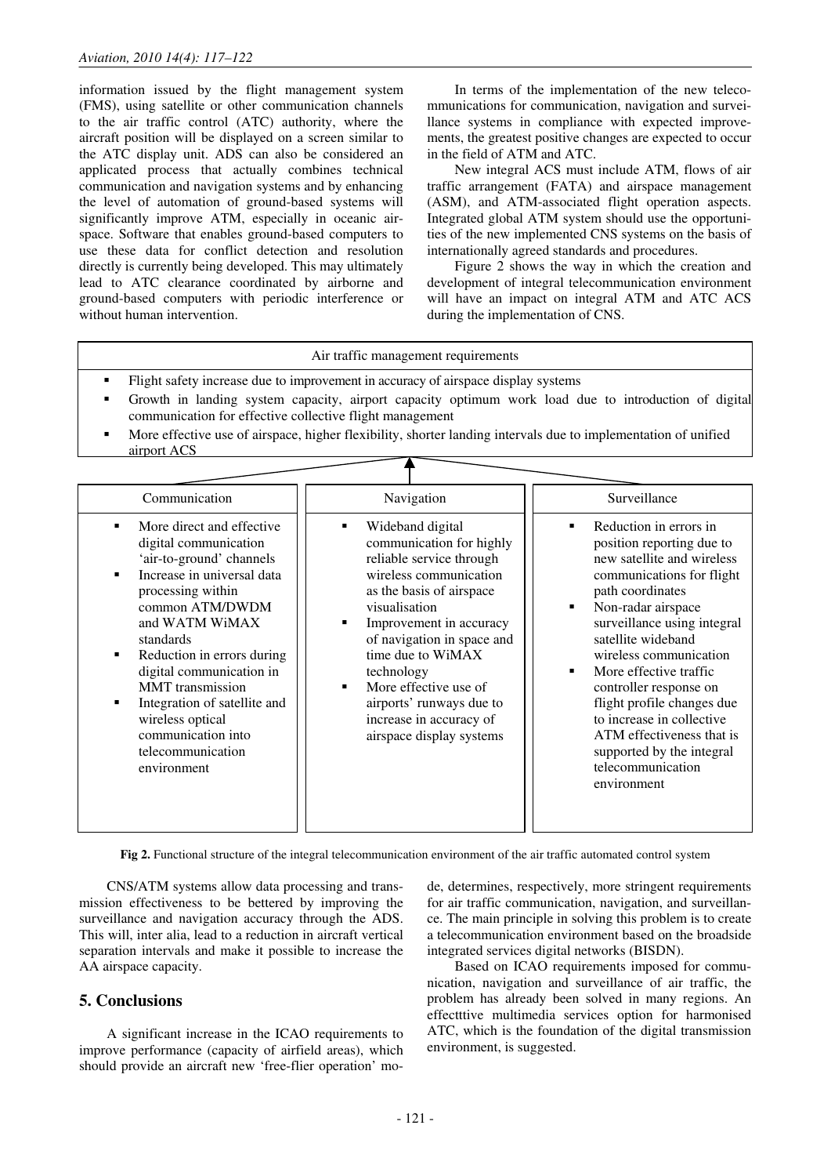information issued by the flight management system (FMS), using satellite or other communication channels to the air traffic control (ATC) authority, where the aircraft position will be displayed on a screen similar to the ATC display unit. ADS can also be considered an applicated process that actually combines technical communication and navigation systems and by enhancing the level of automation of ground-based systems will significantly improve ATM, especially in oceanic airspace. Software that enables ground-based computers to use these data for conflict detection and resolution directly is currently being developed. This may ultimately lead to ATC clearance coordinated by airborne and ground-based computers with periodic interference or without human intervention.

In terms of the implementation of the new telecommunications for communication, navigation and surveillance systems in compliance with expected improvements, the greatest positive changes are expected to occur in the field of ATM and ATC.

New integral ACS must include ATM, flows of air traffic arrangement (FATA) and airspace management (ASM), and ATM-associated flight operation aspects. Integrated global ATM system should use the opportunities of the new implemented CNS systems on the basis of internationally agreed standards and procedures.

Figure 2 shows the way in which the creation and development of integral telecommunication environment will have an impact on integral ATM and ATC ACS during the implementation of CNS.

Flight safety increase due to improvement in accuracy of airspace display systems

- Growth in landing system capacity, airport capacity optimum work load due to introduction of digital communication for effective collective flight management
- More effective use of airspace, higher flexibility, shorter landing intervals due to implementation of unified airport ACS

Air traffic management requirements

| Communication                                                                                                                                                                                                                                                                                                                                                                                         | Navigation                                                                                                                                                                                                                                                                                                                                                                          | Surveillance                                                                                                                                                                                                                                                                                                                                                                                                                                              |
|-------------------------------------------------------------------------------------------------------------------------------------------------------------------------------------------------------------------------------------------------------------------------------------------------------------------------------------------------------------------------------------------------------|-------------------------------------------------------------------------------------------------------------------------------------------------------------------------------------------------------------------------------------------------------------------------------------------------------------------------------------------------------------------------------------|-----------------------------------------------------------------------------------------------------------------------------------------------------------------------------------------------------------------------------------------------------------------------------------------------------------------------------------------------------------------------------------------------------------------------------------------------------------|
| More direct and effective<br>п<br>digital communication<br>'air-to-ground' channels<br>Increase in universal data<br>processing within<br>common ATM/DWDM<br>and WATM WiMAX<br>standards<br>Reduction in errors during<br>п<br>digital communication in<br><b>MMT</b> transmission<br>Integration of satellite and<br>п<br>wireless optical<br>communication into<br>telecommunication<br>environment | Wideband digital<br>٠<br>communication for highly<br>reliable service through<br>wireless communication<br>as the basis of airspace<br>visualisation<br>Improvement in accuracy<br>٠<br>of navigation in space and<br>time due to WiMAX<br>technology<br>More effective use of<br>$\blacksquare$<br>airports' runways due to<br>increase in accuracy of<br>airspace display systems | Reduction in errors in<br>position reporting due to<br>new satellite and wireless<br>communications for flight<br>path coordinates<br>Non-radar airspace<br>٠<br>surveillance using integral<br>satellite wideband<br>wireless communication<br>More effective traffic<br>controller response on<br>flight profile changes due<br>to increase in collective<br>ATM effectiveness that is<br>supported by the integral<br>telecommunication<br>environment |

**Fig 2.** Functional structure of the integral telecommunication environment of the air traffic automated control system

CNS/ATM systems allow data processing and transmission effectiveness to be bettered by improving the surveillance and navigation accuracy through the ADS. This will, inter alia, lead to a reduction in aircraft vertical separation intervals and make it possible to increase the AA airspace capacity.

## **5. Conclusions**

A significant increase in the ICAO requirements to improve performance (capacity of airfield areas), which should provide an aircraft new 'free-flier operation' mode, determines, respectively, more stringent requirements for air traffic communication, navigation, and surveillance. The main principle in solving this problem is to create a telecommunication environment based on the broadside integrated services digital networks (BISDN).

Based on ICAO requirements imposed for communication, navigation and surveillance of air traffic, the problem has already been solved in many regions. An effectttive multimedia services option for harmonised ATC, which is the foundation of the digital transmission environment, is suggested.